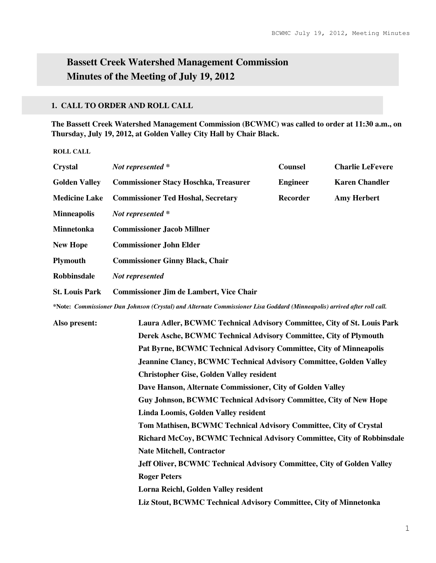# **Bassett Creek Watershed Management Commission Minutes of the Meeting of July 19, 2012**

#### **1. CALL TO ORDER AND ROLL CALL**

**The Bassett Creek Watershed Management Commission (BCWMC) was called to order at 11:30 a.m., on Thursday, July 19, 2012, at Golden Valley City Hall by Chair Black.** 

**ROLL CALL** 

| <b>Crystal</b>        | Not represented *                                                                                                                                                                                                                                                                                                 | <b>Counsel</b>  | <b>Charlie LeFevere</b> |
|-----------------------|-------------------------------------------------------------------------------------------------------------------------------------------------------------------------------------------------------------------------------------------------------------------------------------------------------------------|-----------------|-------------------------|
| <b>Golden Valley</b>  | <b>Commissioner Stacy Hoschka, Treasurer</b>                                                                                                                                                                                                                                                                      | <b>Engineer</b> | <b>Karen Chandler</b>   |
| <b>Medicine Lake</b>  | <b>Commissioner Ted Hoshal, Secretary</b>                                                                                                                                                                                                                                                                         | Recorder        | <b>Amy Herbert</b>      |
| <b>Minneapolis</b>    | Not represented *                                                                                                                                                                                                                                                                                                 |                 |                         |
| <b>Minnetonka</b>     | <b>Commissioner Jacob Millner</b>                                                                                                                                                                                                                                                                                 |                 |                         |
| <b>New Hope</b>       | <b>Commissioner John Elder</b>                                                                                                                                                                                                                                                                                    |                 |                         |
| <b>Plymouth</b>       | <b>Commissioner Ginny Black, Chair</b>                                                                                                                                                                                                                                                                            |                 |                         |
| <b>Robbinsdale</b>    | Not represented                                                                                                                                                                                                                                                                                                   |                 |                         |
| <b>St. Louis Park</b> | <b>Commissioner Jim de Lambert, Vice Chair</b>                                                                                                                                                                                                                                                                    |                 |                         |
|                       | $\mathcal{M}$ , and a set the contract of the contract of $\mathcal{M}$ , $\mathcal{M}$ , $\mathcal{M}$ , $\mathcal{M}$ , $\mathcal{M}$ , $\mathcal{M}$ , $\mathcal{M}$ , $\mathcal{M}$ , $\mathcal{M}$ , $\mathcal{M}$ , $\mathcal{M}$ , $\mathcal{M}$ , $\mathcal{M}$ , $\mathcal{M}$ , $\mathcal{M}$ , $\math$ |                 |                         |

**\*Note:** *Commissioner Dan Johnson (Crystal) and Alternate Commissioner Lisa Goddard (Minneapolis) arrived after roll call.* 

**Also present: Laura Adler, BCWMC Technical Advisory Committee, City of St. Louis Park Derek Asche, BCWMC Technical Advisory Committee, City of Plymouth Pat Byrne, BCWMC Technical Advisory Committee, City of Minneapolis Jeannine Clancy, BCWMC Technical Advisory Committee, Golden Valley Christopher Gise, Golden Valley resident Dave Hanson, Alternate Commissioner, City of Golden Valley Guy Johnson, BCWMC Technical Advisory Committee, City of New Hope Linda Loomis, Golden Valley resident Tom Mathisen, BCWMC Technical Advisory Committee, City of Crystal Richard McCoy, BCWMC Technical Advisory Committee, City of Robbinsdale Nate Mitchell, Contractor Jeff Oliver, BCWMC Technical Advisory Committee, City of Golden Valley Roger Peters Lorna Reichl, Golden Valley resident Liz Stout, BCWMC Technical Advisory Committee, City of Minnetonka**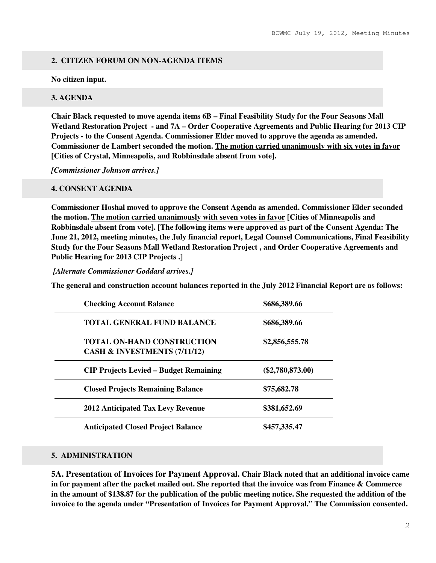## **2. CITIZEN FORUM ON NON-AGENDA ITEMS**

**No citizen input.** 

### **3. AGENDA**

**Chair Black requested to move agenda items 6B – Final Feasibility Study for the Four Seasons Mall Wetland Restoration Project - and 7A – Order Cooperative Agreements and Public Hearing for 2013 CIP Projects - to the Consent Agenda. Commissioner Elder moved to approve the agenda as amended. Commissioner de Lambert seconded the motion. The motion carried unanimously with six votes in favor [Cities of Crystal, Minneapolis, and Robbinsdale absent from vote].** 

*[Commissioner Johnson arrives.]* 

### **4. CONSENT AGENDA**

**Commissioner Hoshal moved to approve the Consent Agenda as amended. Commissioner Elder seconded the motion. The motion carried unanimously with seven votes in favor [Cities of Minneapolis and Robbinsdale absent from vote]. [The following items were approved as part of the Consent Agenda: The June 21, 2012, meeting minutes, the July financial report, Legal Counsel Communications, Final Feasibility Study for the Four Seasons Mall Wetland Restoration Project , and Order Cooperative Agreements and Public Hearing for 2013 CIP Projects .]** 

*[Alternate Commissioner Goddard arrives.]* 

**The general and construction account balances reported in the July 2012 Financial Report are as follows:** 

| <b>Checking Account Balance</b>                                   | \$686,389.66       |
|-------------------------------------------------------------------|--------------------|
| <b>TOTAL GENERAL FUND BALANCE</b>                                 | \$686,389.66       |
| <b>TOTAL ON-HAND CONSTRUCTION</b><br>CASH & INVESTMENTS (7/11/12) | \$2,856,555.78     |
| <b>CIP Projects Levied – Budget Remaining</b>                     | $(\$2,780,873.00)$ |
| <b>Closed Projects Remaining Balance</b>                          | \$75,682.78        |
| <b>2012 Anticipated Tax Levy Revenue</b>                          | \$381,652.69       |
| <b>Anticipated Closed Project Balance</b>                         | \$457,335.47       |

### **5. ADMINISTRATION**

**5A. Presentation of Invoices for Payment Approval. Chair Black noted that an additional invoice came in for payment after the packet mailed out. She reported that the invoice was from Finance & Commerce in the amount of \$138.87 for the publication of the public meeting notice. She requested the addition of the invoice to the agenda under "Presentation of Invoices for Payment Approval." The Commission consented.**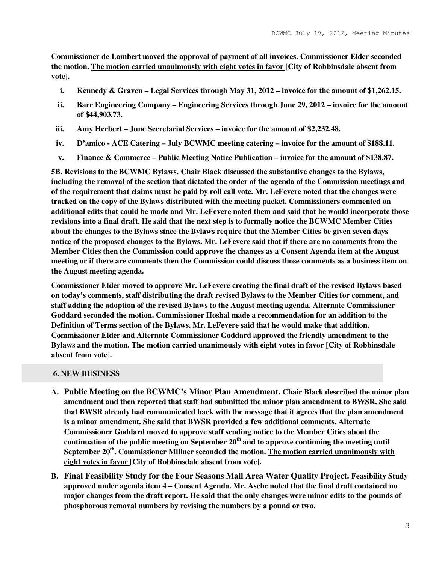**Commissioner de Lambert moved the approval of payment of all invoices. Commissioner Elder seconded the motion. The motion carried unanimously with eight votes in favor [City of Robbinsdale absent from vote].** 

- **i. Kennedy & Graven Legal Services through May 31, 2012 invoice for the amount of \$1,262.15.**
- **ii. Barr Engineering Company Engineering Services through June 29, 2012 invoice for the amount of \$44,903.73.**
- **iii. Amy Herbert June Secretarial Services invoice for the amount of \$2,232.48.**
- **iv. D'amico ACE Catering July BCWMC meeting catering invoice for the amount of \$188.11.**
- **v. Finance & Commerce Public Meeting Notice Publication invoice for the amount of \$138.87.**

**5B. Revisions to the BCWMC Bylaws. Chair Black discussed the substantive changes to the Bylaws, including the removal of the section that dictated the order of the agenda of the Commission meetings and of the requirement that claims must be paid by roll call vote. Mr. LeFevere noted that the changes were tracked on the copy of the Bylaws distributed with the meeting packet. Commissioners commented on additional edits that could be made and Mr. LeFevere noted them and said that he would incorporate those revisions into a final draft. He said that the next step is to formally notice the BCWMC Member Cities about the changes to the Bylaws since the Bylaws require that the Member Cities be given seven days notice of the proposed changes to the Bylaws. Mr. LeFevere said that if there are no comments from the Member Cities then the Commission could approve the changes as a Consent Agenda item at the August meeting or if there are comments then the Commission could discuss those comments as a business item on the August meeting agenda.** 

**Commissioner Elder moved to approve Mr. LeFevere creating the final draft of the revised Bylaws based on today's comments, staff distributing the draft revised Bylaws to the Member Cities for comment, and staff adding the adoption of the revised Bylaws to the August meeting agenda. Alternate Commissioner Goddard seconded the motion. Commissioner Hoshal made a recommendation for an addition to the Definition of Terms section of the Bylaws. Mr. LeFevere said that he would make that addition. Commissioner Elder and Alternate Commissioner Goddard approved the friendly amendment to the Bylaws and the motion. The motion carried unanimously with eight votes in favor [City of Robbinsdale absent from vote].** 

#### **6. NEW BUSINESS**

- **A. Public Meeting on the BCWMC's Minor Plan Amendment. Chair Black described the minor plan amendment and then reported that staff had submitted the minor plan amendment to BWSR. She said that BWSR already had communicated back with the message that it agrees that the plan amendment is a minor amendment. She said that BWSR provided a few additional comments. Alternate Commissioner Goddard moved to approve staff sending notice to the Member Cities about the continuation of the public meeting on September 20th and to approve continuing the meeting until September 20th. Commissioner Millner seconded the motion. The motion carried unanimously with eight votes in favor [City of Robbinsdale absent from vote].**
- **B. Final Feasibility Study for the Four Seasons Mall Area Water Quality Project. Feasibility Study approved under agenda item 4 – Consent Agenda. Mr. Asche noted that the final draft contained no major changes from the draft report. He said that the only changes were minor edits to the pounds of phosphorous removal numbers by revising the numbers by a pound or two.**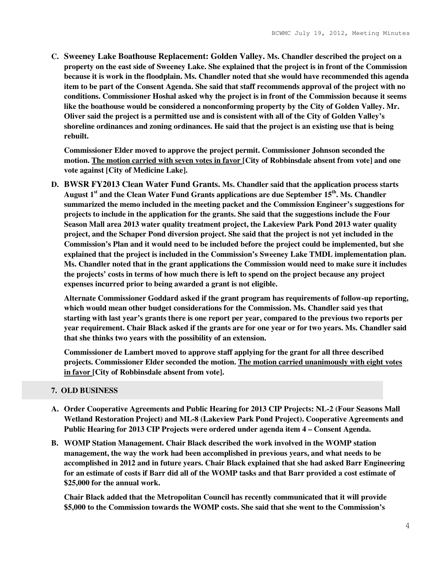**C. Sweeney Lake Boathouse Replacement: Golden Valley. Ms. Chandler described the project on a property on the east side of Sweeney Lake. She explained that the project is in front of the Commission because it is work in the floodplain. Ms. Chandler noted that she would have recommended this agenda item to be part of the Consent Agenda. She said that staff recommends approval of the project with no conditions. Commissioner Hoshal asked why the project is in front of the Commission because it seems like the boathouse would be considered a nonconforming property by the City of Golden Valley. Mr. Oliver said the project is a permitted use and is consistent with all of the City of Golden Valley's shoreline ordinances and zoning ordinances. He said that the project is an existing use that is being rebuilt.** 

**Commissioner Elder moved to approve the project permit. Commissioner Johnson seconded the motion. The motion carried with seven votes in favor [City of Robbinsdale absent from vote] and one vote against [City of Medicine Lake].** 

**D. BWSR FY2013 Clean Water Fund Grants. Ms. Chandler said that the application process starts August 1st and the Clean Water Fund Grants applications are due September 15th. Ms. Chandler summarized the memo included in the meeting packet and the Commission Engineer's suggestions for projects to include in the application for the grants. She said that the suggestions include the Four Season Mall area 2013 water quality treatment project, the Lakeview Park Pond 2013 water quality project, and the Schaper Pond diversion project. She said that the project is not yet included in the Commission's Plan and it would need to be included before the project could be implemented, but she explained that the project is included in the Commission's Sweeney Lake TMDL implementation plan. Ms. Chandler noted that in the grant applications the Commission would need to make sure it includes the projects' costs in terms of how much there is left to spend on the project because any project expenses incurred prior to being awarded a grant is not eligible.** 

**Alternate Commissioner Goddard asked if the grant program has requirements of follow-up reporting, which would mean other budget considerations for the Commission. Ms. Chandler said yes that starting with last year's grants there is one report per year, compared to the previous two reports per year requirement. Chair Black asked if the grants are for one year or for two years. Ms. Chandler said that she thinks two years with the possibility of an extension.** 

**Commissioner de Lambert moved to approve staff applying for the grant for all three described projects. Commissioner Elder seconded the motion. The motion carried unanimously with eight votes in favor [City of Robbinsdale absent from vote].** 

#### **7. OLD BUSINESS**

- **A. Order Cooperative Agreements and Public Hearing for 2013 CIP Projects: NL-2 (Four Seasons Mall Wetland Restoration Project) and ML-8 (Lakeview Park Pond Project). Cooperative Agreements and Public Hearing for 2013 CIP Projects were ordered under agenda item 4 – Consent Agenda.**
- **B. WOMP Station Management. Chair Black described the work involved in the WOMP station management, the way the work had been accomplished in previous years, and what needs to be accomplished in 2012 and in future years. Chair Black explained that she had asked Barr Engineering for an estimate of costs if Barr did all of the WOMP tasks and that Barr provided a cost estimate of \$25,000 for the annual work.**

**Chair Black added that the Metropolitan Council has recently communicated that it will provide \$5,000 to the Commission towards the WOMP costs. She said that she went to the Commission's**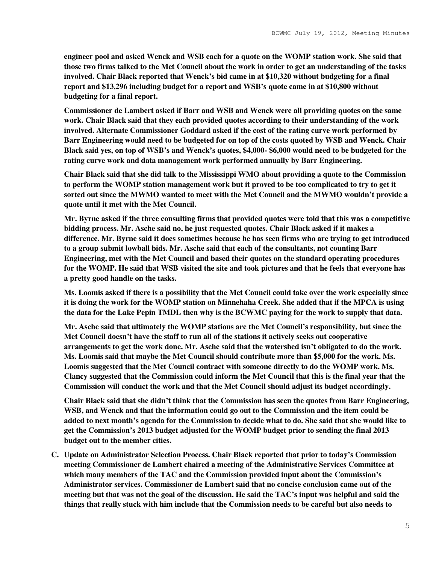**engineer pool and asked Wenck and WSB each for a quote on the WOMP station work. She said that those two firms talked to the Met Council about the work in order to get an understanding of the tasks involved. Chair Black reported that Wenck's bid came in at \$10,320 without budgeting for a final report and \$13,296 including budget for a report and WSB's quote came in at \$10,800 without budgeting for a final report.** 

**Commissioner de Lambert asked if Barr and WSB and Wenck were all providing quotes on the same work. Chair Black said that they each provided quotes according to their understanding of the work involved. Alternate Commissioner Goddard asked if the cost of the rating curve work performed by Barr Engineering would need to be budgeted for on top of the costs quoted by WSB and Wenck. Chair Black said yes, on top of WSB's and Wenck's quotes, \$4,000- \$6,000 would need to be budgeted for the rating curve work and data management work performed annually by Barr Engineering.** 

**Chair Black said that she did talk to the Mississippi WMO about providing a quote to the Commission to perform the WOMP station management work but it proved to be too complicated to try to get it sorted out since the MWMO wanted to meet with the Met Council and the MWMO wouldn't provide a quote until it met with the Met Council.** 

**Mr. Byrne asked if the three consulting firms that provided quotes were told that this was a competitive bidding process. Mr. Asche said no, he just requested quotes. Chair Black asked if it makes a difference. Mr. Byrne said it does sometimes because he has seen firms who are trying to get introduced to a group submit lowball bids. Mr. Asche said that each of the consultants, not counting Barr Engineering, met with the Met Council and based their quotes on the standard operating procedures for the WOMP. He said that WSB visited the site and took pictures and that he feels that everyone has a pretty good handle on the tasks.** 

**Ms. Loomis asked if there is a possibility that the Met Council could take over the work especially since it is doing the work for the WOMP station on Minnehaha Creek. She added that if the MPCA is using the data for the Lake Pepin TMDL then why is the BCWMC paying for the work to supply that data.** 

**Mr. Asche said that ultimately the WOMP stations are the Met Council's responsibility, but since the Met Council doesn't have the staff to run all of the stations it actively seeks out cooperative arrangements to get the work done. Mr. Asche said that the watershed isn't obligated to do the work. Ms. Loomis said that maybe the Met Council should contribute more than \$5,000 for the work. Ms. Loomis suggested that the Met Council contract with someone directly to do the WOMP work. Ms. Clancy suggested that the Commission could inform the Met Council that this is the final year that the Commission will conduct the work and that the Met Council should adjust its budget accordingly.** 

**Chair Black said that she didn't think that the Commission has seen the quotes from Barr Engineering, WSB, and Wenck and that the information could go out to the Commission and the item could be added to next month's agenda for the Commission to decide what to do. She said that she would like to get the Commission's 2013 budget adjusted for the WOMP budget prior to sending the final 2013 budget out to the member cities.** 

**C. Update on Administrator Selection Process. Chair Black reported that prior to today's Commission meeting Commissioner de Lambert chaired a meeting of the Administrative Services Committee at which many members of the TAC and the Commission provided input about the Commission's Administrator services. Commissioner de Lambert said that no concise conclusion came out of the meeting but that was not the goal of the discussion. He said the TAC's input was helpful and said the things that really stuck with him include that the Commission needs to be careful but also needs to**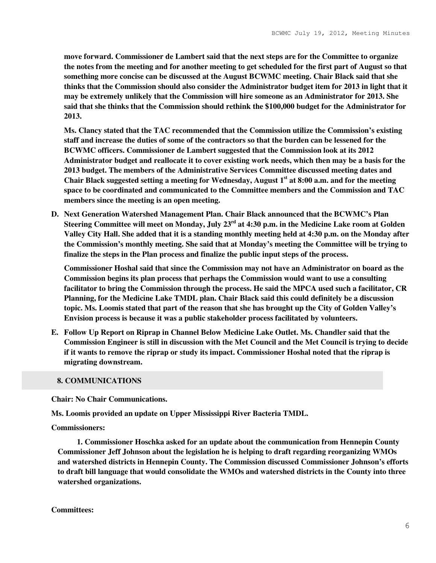**move forward. Commissioner de Lambert said that the next steps are for the Committee to organize the notes from the meeting and for another meeting to get scheduled for the first part of August so that something more concise can be discussed at the August BCWMC meeting. Chair Black said that she thinks that the Commission should also consider the Administrator budget item for 2013 in light that it may be extremely unlikely that the Commission will hire someone as an Administrator for 2013. She said that she thinks that the Commission should rethink the \$100,000 budget for the Administrator for 2013.** 

**Ms. Clancy stated that the TAC recommended that the Commission utilize the Commission's existing staff and increase the duties of some of the contractors so that the burden can be lessened for the BCWMC officers. Commissioner de Lambert suggested that the Commission look at its 2012 Administrator budget and reallocate it to cover existing work needs, which then may be a basis for the 2013 budget. The members of the Administrative Services Committee discussed meeting dates and Chair Black suggested setting a meeting for Wednesday, August 1st at 8:00 a.m. and for the meeting space to be coordinated and communicated to the Committee members and the Commission and TAC members since the meeting is an open meeting.** 

**D. Next Generation Watershed Management Plan. Chair Black announced that the BCWMC's Plan Steering Committee will meet on Monday, July 23rd at 4:30 p.m. in the Medicine Lake room at Golden Valley City Hall. She added that it is a standing monthly meeting held at 4:30 p.m. on the Monday after the Commission's monthly meeting. She said that at Monday's meeting the Committee will be trying to finalize the steps in the Plan process and finalize the public input steps of the process.** 

**Commissioner Hoshal said that since the Commission may not have an Administrator on board as the Commission begins its plan process that perhaps the Commission would want to use a consulting facilitator to bring the Commission through the process. He said the MPCA used such a facilitator, CR Planning, for the Medicine Lake TMDL plan. Chair Black said this could definitely be a discussion topic. Ms. Loomis stated that part of the reason that she has brought up the City of Golden Valley's Envision process is because it was a public stakeholder process facilitated by volunteers.** 

**E. Follow Up Report on Riprap in Channel Below Medicine Lake Outlet. Ms. Chandler said that the Commission Engineer is still in discussion with the Met Council and the Met Council is trying to decide if it wants to remove the riprap or study its impact. Commissioner Hoshal noted that the riprap is migrating downstream.** 

#### **8. COMMUNICATIONS**

**Chair: No Chair Communications.** 

**Ms. Loomis provided an update on Upper Mississippi River Bacteria TMDL.** 

**Commissioners:** 

 **1. Commissioner Hoschka asked for an update about the communication from Hennepin County Commissioner Jeff Johnson about the legislation he is helping to draft regarding reorganizing WMOs and watershed districts in Hennepin County. The Commission discussed Commissioner Johnson's efforts to draft bill language that would consolidate the WMOs and watershed districts in the County into three watershed organizations.**